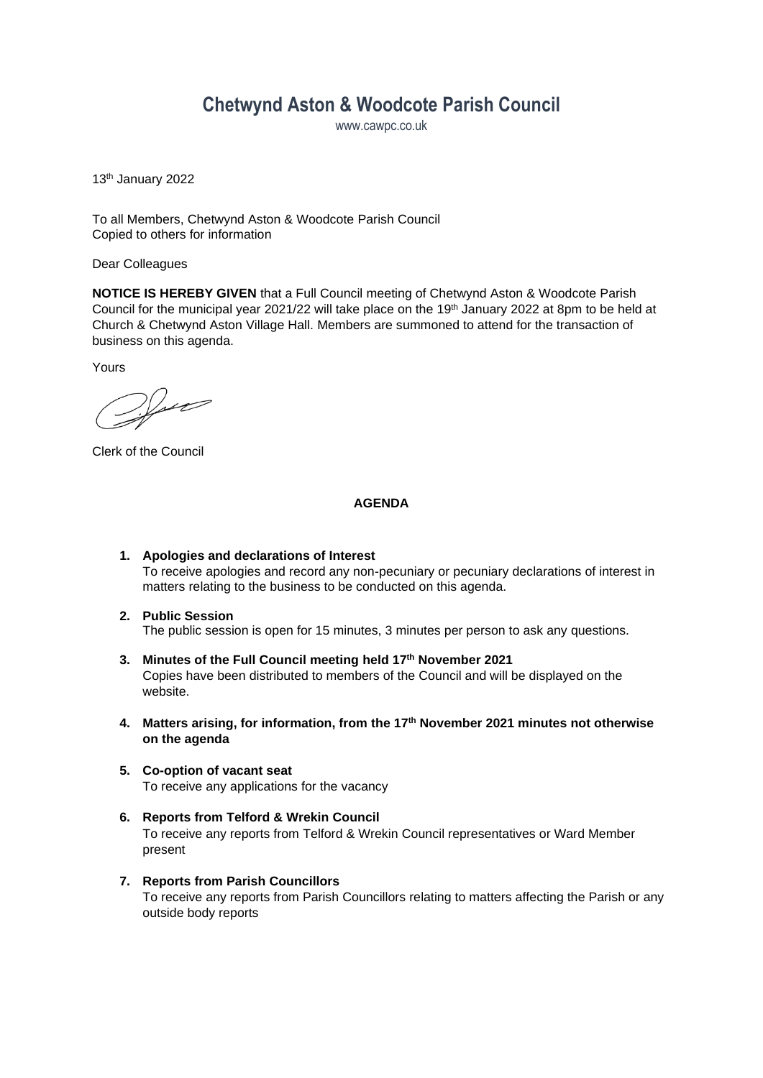# **Chetwynd Aston & Woodcote Parish Council**

www.cawpc.co.uk

13 th January 2022

To all Members, Chetwynd Aston & Woodcote Parish Council Copied to others for information

Dear Colleagues

**NOTICE IS HEREBY GIVEN** that a Full Council meeting of Chetwynd Aston & Woodcote Parish Council for the municipal year 2021/22 will take place on the 19<sup>th</sup> January 2022 at 8pm to be held at Church & Chetwynd Aston Village Hall. Members are summoned to attend for the transaction of business on this agenda.

Yours

 $\mathcal{V}_{\mathcal{M}}$ 

Clerk of the Council

#### **AGENDA**

- **1. Apologies and declarations of Interest** To receive apologies and record any non-pecuniary or pecuniary declarations of interest in matters relating to the business to be conducted on this agenda.
- **2. Public Session** The public session is open for 15 minutes, 3 minutes per person to ask any questions.
- **3. Minutes of the Full Council meeting held 17th November 2021** Copies have been distributed to members of the Council and will be displayed on the website.
- **4. Matters arising, for information, from the 17th November 2021 minutes not otherwise on the agenda**
- **5. Co-option of vacant seat** To receive any applications for the vacancy
- **6. Reports from Telford & Wrekin Council** To receive any reports from Telford & Wrekin Council representatives or Ward Member present
- **7. Reports from Parish Councillors** To receive any reports from Parish Councillors relating to matters affecting the Parish or any outside body reports